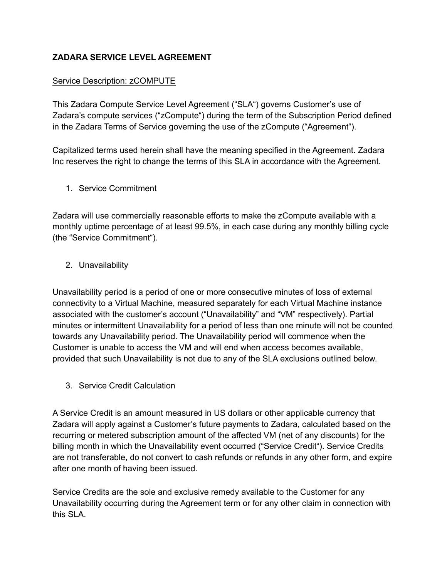### **ZADARA SERVICE LEVEL AGREEMENT**

### Service Description: zCOMPUTE

This Zadara Compute Service Level Agreement ("SLA") governs Customer's use of Zadara's compute services ("zCompute") during the term of the Subscription Period defined in the Zadara Terms of Service governing the use of the zCompute ("Agreement").

Capitalized terms used herein shall have the meaning specified in the Agreement. Zadara Inc reserves the right to change the terms of this SLA in accordance with the Agreement.

1. Service Commitment

Zadara will use commercially reasonable efforts to make the zCompute available with a monthly uptime percentage of at least 99.5%, in each case during any monthly billing cycle (the "Service Commitment").

### 2. Unavailability

Unavailability period is a period of one or more consecutive minutes of loss of external connectivity to a Virtual Machine, measured separately for each Virtual Machine instance associated with the customer's account ("Unavailability" and "VM" respectively). Partial minutes or intermittent Unavailability for a period of less than one minute will not be counted towards any Unavailability period. The Unavailability period will commence when the Customer is unable to access the VM and will end when access becomes available, provided that such Unavailability is not due to any of the SLA exclusions outlined below.

3. Service Credit Calculation

A Service Credit is an amount measured in US dollars or other applicable currency that Zadara will apply against a Customer's future payments to Zadara, calculated based on the recurring or metered subscription amount of the affected VM (net of any discounts) for the billing month in which the Unavailability event occurred ("Service Credit"). Service Credits are not transferable, do not convert to cash refunds or refunds in any other form, and expire after one month of having been issued.

Service Credits are the sole and exclusive remedy available to the Customer for any Unavailability occurring during the Agreement term or for any other claim in connection with this SLA.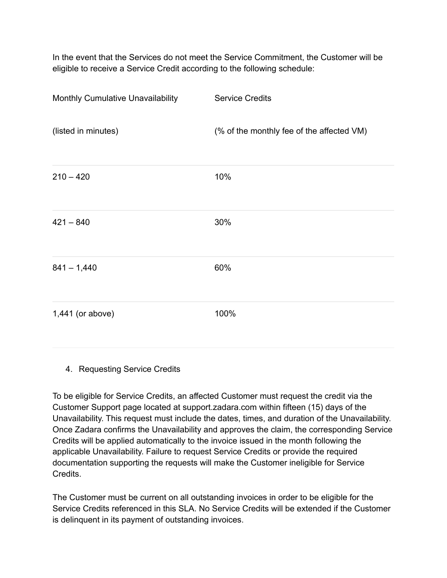In the event that the Services do not meet the Service Commitment, the Customer will be eligible to receive a Service Credit according to the following schedule:

| Monthly Cumulative Unavailability | <b>Service Credits</b>                    |
|-----------------------------------|-------------------------------------------|
| (listed in minutes)               | (% of the monthly fee of the affected VM) |
| $210 - 420$                       | 10%                                       |
| $421 - 840$                       | 30%                                       |
| $841 - 1,440$                     | 60%                                       |
| 1,441 (or above)                  | 100%                                      |

4. Requesting Service Credits

To be eligible for Service Credits, an affected Customer must request the credit via the Customer Support page located at [support.zadara.com](http://www.zadarastorage.com/) within fifteen (15) days of the Unavailability. This request must include the dates, times, and duration of the Unavailability. Once Zadara confirms the Unavailability and approves the claim, the corresponding Service Credits will be applied automatically to the invoice issued in the month following the applicable Unavailability. Failure to request Service Credits or provide the required documentation supporting the requests will make the Customer ineligible for Service Credits.

The Customer must be current on all outstanding invoices in order to be eligible for the Service Credits referenced in this SLA. No Service Credits will be extended if the Customer is delinquent in its payment of outstanding invoices.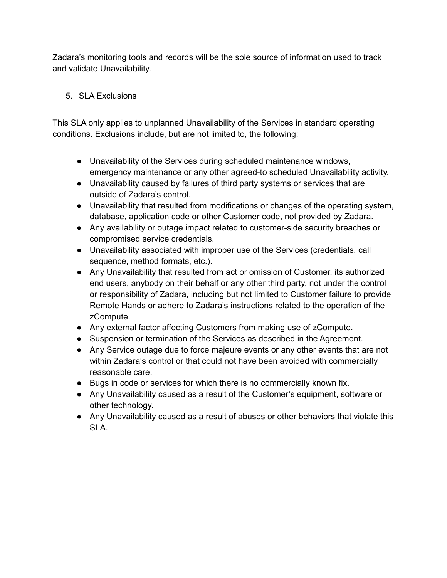Zadara's monitoring tools and records will be the sole source of information used to track and validate Unavailability.

## 5. SLA Exclusions

This SLA only applies to unplanned Unavailability of the Services in standard operating conditions. Exclusions include, but are not limited to, the following:

- Unavailability of the Services during scheduled maintenance windows, emergency maintenance or any other agreed-to scheduled Unavailability activity.
- Unavailability caused by failures of third party systems or services that are outside of Zadara's control.
- Unavailability that resulted from modifications or changes of the operating system, database, application code or other Customer code, not provided by Zadara.
- Any availability or outage impact related to customer-side security breaches or compromised service credentials.
- Unavailability associated with improper use of the Services (credentials, call sequence, method formats, etc.).
- Any Unavailability that resulted from act or omission of Customer, its authorized end users, anybody on their behalf or any other third party, not under the control or responsibility of Zadara, including but not limited to Customer failure to provide Remote Hands or adhere to Zadara's instructions related to the operation of the zCompute.
- Any external factor affecting Customers from making use of zCompute.
- Suspension or termination of the Services as described in the Agreement.
- Any Service outage due to force majeure events or any other events that are not within Zadara's control or that could not have been avoided with commercially reasonable care.
- Bugs in code or services for which there is no commercially known fix.
- Any Unavailability caused as a result of the Customer's equipment, software or other technology.
- Any Unavailability caused as a result of abuses or other behaviors that violate this SLA.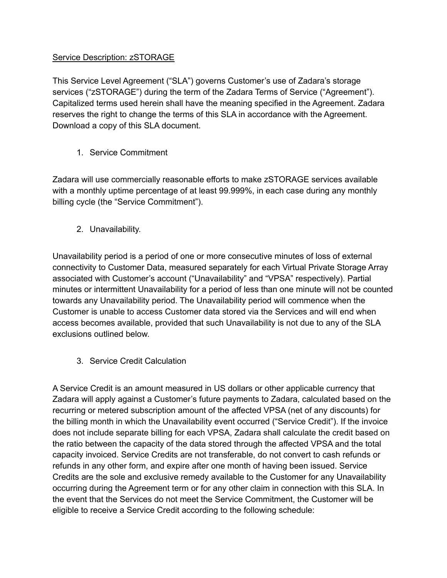### Service Description: zSTORAGE

This Service Level Agreement ("SLA") governs Customer's use of Zadara's storage services ("zSTORAGE") during the term of the Zadara Terms of Service ("Agreement"). Capitalized terms used herein shall have the meaning specified in the Agreement. Zadara reserves the right to change the terms of this SLA in accordance with the Agreement. [Download](https://www.zadara.com/wp-content/uploads/SLA.pdf) a copy of this SLA document.

1. Service Commitment

Zadara will use commercially reasonable efforts to make zSTORAGE services available with a monthly uptime percentage of at least 99.999%, in each case during any monthly billing cycle (the "Service Commitment").

2. Unavailability.

Unavailability period is a period of one or more consecutive minutes of loss of external connectivity to Customer Data, measured separately for each Virtual Private Storage Array associated with Customer's account ("Unavailability" and "VPSA" respectively). Partial minutes or intermittent Unavailability for a period of less than one minute will not be counted towards any Unavailability period. The Unavailability period will commence when the Customer is unable to access Customer data stored via the Services and will end when access becomes available, provided that such Unavailability is not due to any of the SLA exclusions outlined below.

3. Service Credit Calculation

A Service Credit is an amount measured in US dollars or other applicable currency that Zadara will apply against a Customer's future payments to Zadara, calculated based on the recurring or metered subscription amount of the affected VPSA (net of any discounts) for the billing month in which the Unavailability event occurred ("Service Credit"). If the invoice does not include separate billing for each VPSA, Zadara shall calculate the credit based on the ratio between the capacity of the data stored through the affected VPSA and the total capacity invoiced. Service Credits are not transferable, do not convert to cash refunds or refunds in any other form, and expire after one month of having been issued. Service Credits are the sole and exclusive remedy available to the Customer for any Unavailability occurring during the Agreement term or for any other claim in connection with this SLA. In the event that the Services do not meet the Service Commitment, the Customer will be eligible to receive a Service Credit according to the following schedule: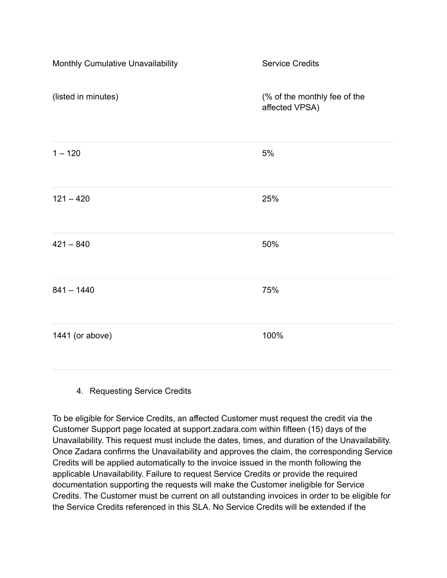| Monthly Cumulative Unavailability | <b>Service Credits</b>                         |
|-----------------------------------|------------------------------------------------|
| (listed in minutes)               | (% of the monthly fee of the<br>affected VPSA) |
| $1 - 120$                         | $5%$                                           |
| $121 - 420$                       | 25%                                            |
| $421 - 840$                       | 50%                                            |
| $841 - 1440$                      | 75%                                            |
| 1441 (or above)                   | 100%                                           |

### 4. Requesting Service Credits

To be eligible for Service Credits, an affected Customer must request the credit via the Customer Support page located at support.zadara.com within fifteen (15) days of the Unavailability. This request must include the dates, times, and duration of the Unavailability. Once Zadara confirms the Unavailability and approves the claim, the corresponding Service Credits will be applied automatically to the invoice issued in the month following the applicable Unavailability. Failure to request Service Credits or provide the required documentation supporting the requests will make the Customer ineligible for Service Credits. The Customer must be current on all outstanding invoices in order to be eligible for the Service Credits referenced in this SLA. No Service Credits will be extended if the